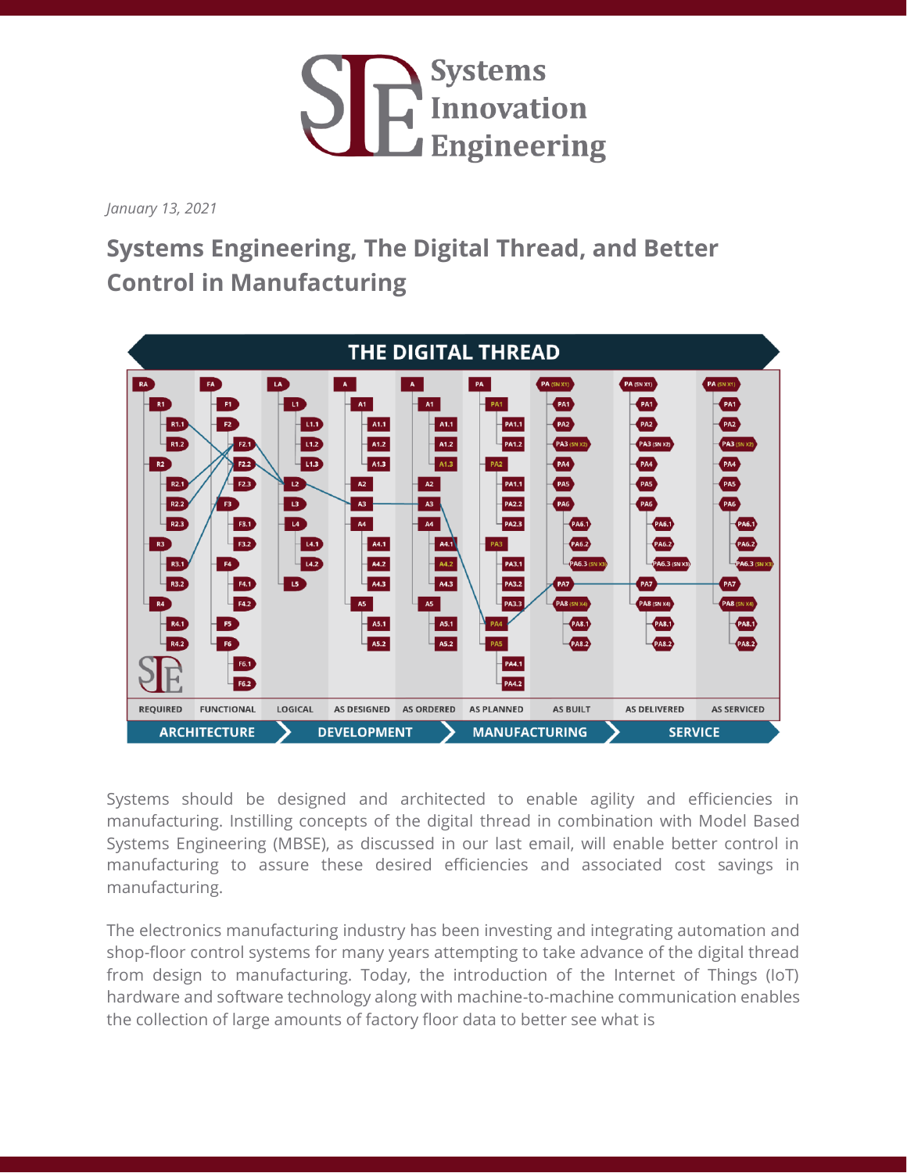

*January 13, 2021*

## **Systems Engineering, The Digital Thread, and Better Control in Manufacturing**



Systems should be designed and architected to enable agility and efficiencies in manufacturing. Instilling concepts of the digital thread in combination with Model Based Systems Engineering (MBSE), as discussed in our last email, will enable better control in manufacturing to assure these desired efficiencies and associated cost savings in manufacturing.

The electronics manufacturing industry has been investing and integrating automation and shop-floor control systems for many years attempting to take advance of the digital thread from design to manufacturing. Today, the introduction of the Internet of Things (IoT) hardware and software technology along with machine-to-machine communication enables the collection of large amounts of factory floor data to better see what is